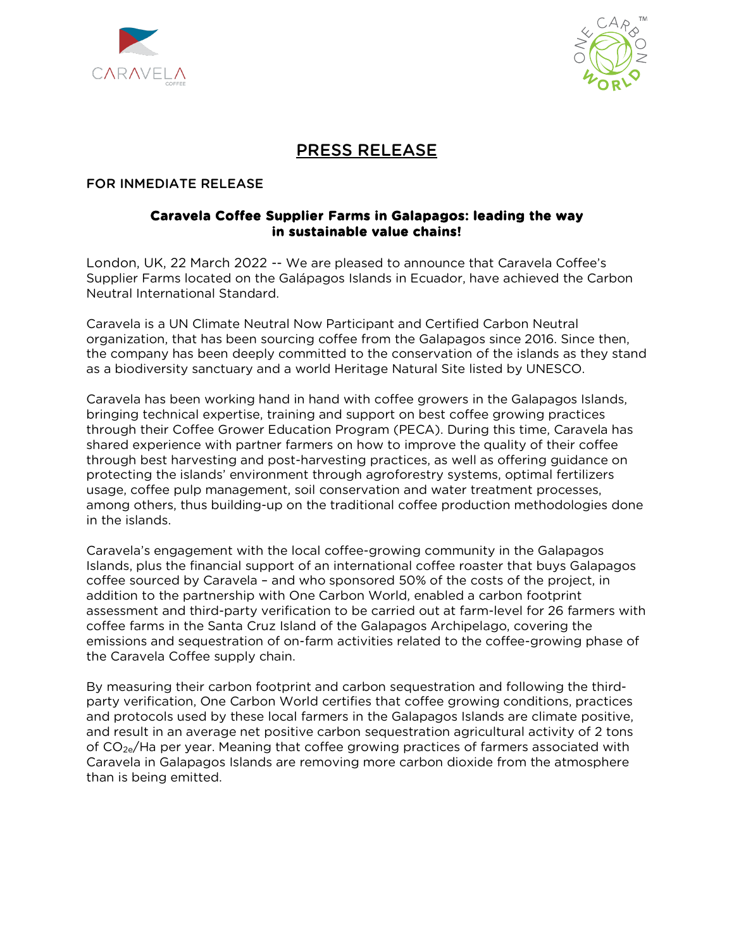



# PRESS RELEASE

#### FOR INMEDIATE RELEASE

#### **Caravela Coffee Supplier Farms in Galapagos: leading the way in sustainable value chains!**

London, UK, 22 March 2022 *--* We are pleased to announce that Caravela Coffee's Supplier Farms located on the Galápagos Islands in Ecuador, have achieved the Carbon Neutral International Standard.

Caravela is a UN Climate Neutral Now Participant and Certified Carbon Neutral organization, that has been sourcing coffee from the Galapagos since 2016. Since then, the company has been deeply committed to the conservation of the islands as they stand as a biodiversity sanctuary and a world Heritage Natural Site listed by UNESCO.

Caravela has been working hand in hand with coffee growers in the Galapagos Islands, bringing technical expertise, training and support on best coffee growing practices through their Coffee Grower Education Program (PECA). During this time, Caravela has shared experience with partner farmers on how to improve the quality of their coffee through best harvesting and post-harvesting practices, as well as offering guidance on protecting the islands' environment through agroforestry systems, optimal fertilizers usage, coffee pulp management, soil conservation and water treatment processes, among others, thus building-up on the traditional coffee production methodologies done in the islands.

Caravela's engagement with the local coffee-growing community in the Galapagos Islands, plus the financial support of an international coffee roaster that buys Galapagos coffee sourced by Caravela – and who sponsored 50% of the costs of the project, in addition to the partnership with One Carbon World, enabled a carbon footprint assessment and third-party verification to be carried out at farm-level for 26 farmers with coffee farms in the Santa Cruz Island of the Galapagos Archipelago, covering the emissions and sequestration of on-farm activities related to the coffee-growing phase of the Caravela Coffee supply chain.

By measuring their carbon footprint and carbon sequestration and following the thirdparty verification, One Carbon World certifies that coffee growing conditions, practices and protocols used by these local farmers in the Galapagos Islands are climate positive, and result in an average net positive carbon sequestration agricultural activity of 2 tons of  $CO_{2e}/H$ a per year. Meaning that coffee growing practices of farmers associated with Caravela in Galapagos Islands are removing more carbon dioxide from the atmosphere than is being emitted.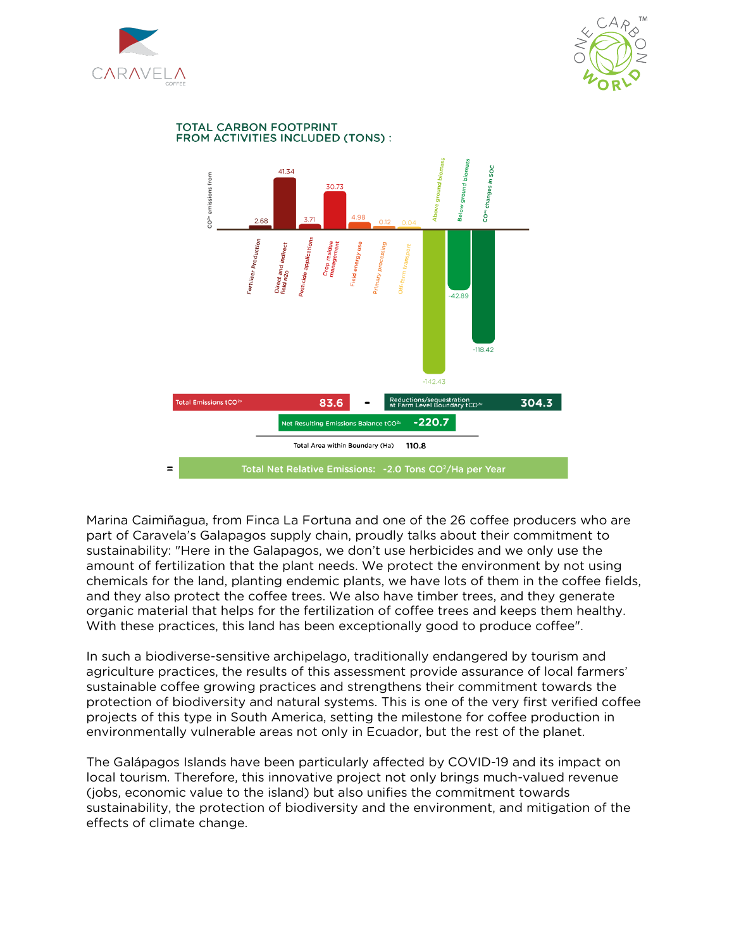



#### **TOTAL CARBON FOOTPRINT** FROM ACTIVITIES INCLUDED (TONS) :



Marina Caimiñagua, from Finca La Fortuna and one of the 26 coffee producers who are part of Caravela's Galapagos supply chain, proudly talks about their commitment to sustainability: "Here in the Galapagos, we don't use herbicides and we only use the amount of fertilization that the plant needs. We protect the environment by not using chemicals for the land, planting endemic plants, we have lots of them in the coffee fields, and they also protect the coffee trees. We also have timber trees, and they generate organic material that helps for the fertilization of coffee trees and keeps them healthy. With these practices, this land has been exceptionally good to produce coffee".

In such a biodiverse-sensitive archipelago, traditionally endangered by tourism and agriculture practices, the results of this assessment provide assurance of local farmers' sustainable coffee growing practices and strengthens their commitment towards the protection of biodiversity and natural systems. This is one of the very first verified coffee projects of this type in South America, setting the milestone for coffee production in environmentally vulnerable areas not only in Ecuador, but the rest of the planet.

The Galápagos Islands have been particularly affected by COVID-19 and its impact on local tourism. Therefore, this innovative project not only brings much-valued revenue (jobs, economic value to the island) but also unifies the commitment towards sustainability, the protection of biodiversity and the environment, and mitigation of the effects of climate change.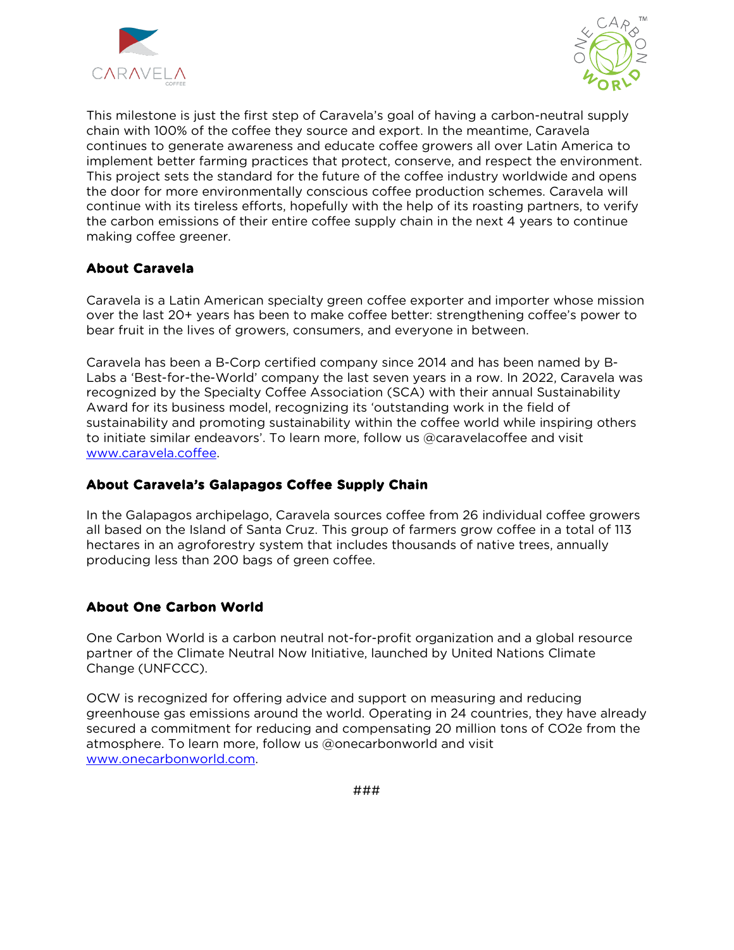



This milestone is just the first step of Caravela's goal of having a carbon-neutral supply chain with 100% of the coffee they source and export. In the meantime, Caravela continues to generate awareness and educate coffee growers all over Latin America to implement better farming practices that protect, conserve, and respect the environment. This project sets the standard for the future of the coffee industry worldwide and opens the door for more environmentally conscious coffee production schemes. Caravela will continue with its tireless efforts, hopefully with the help of its roasting partners, to verify the carbon emissions of their entire coffee supply chain in the next 4 years to continue making coffee greener.

### **About Caravela**

Caravela is a Latin American specialty green coffee exporter and importer whose mission over the last 20+ years has been to make coffee better: strengthening coffee's power to bear fruit in the lives of growers, consumers, and everyone in between.

Caravela has been a B-Corp certified company since 2014 and has been named by B-Labs a 'Best-for-the-World' company the last seven years in a row. In 2022, Caravela was recognized by the Specialty Coffee Association (SCA) with their annual Sustainability Award for its business model, recognizing its 'outstanding work in the field of sustainability and promoting sustainability within the coffee world while inspiring others to initiate similar endeavors'. To learn more, follow us @caravelacoffee and visit [www.caravela.coffee.](http://www.caravela.coffee/)

### **About Caravela's Galapagos Coffee Supply Chain**

In the Galapagos archipelago, Caravela sources coffee from 26 individual coffee growers all based on the Island of Santa Cruz. This group of farmers grow coffee in a total of 113 hectares in an agroforestry system that includes thousands of native trees, annually producing less than 200 bags of green coffee.

# **About One Carbon World**

One Carbon World is a carbon neutral not-for-profit organization and a global resource partner of the Climate Neutral Now Initiative, launched by United Nations Climate Change (UNFCCC).

OCW is recognized for offering advice and support on measuring and reducing greenhouse gas emissions around the world. Operating in 24 countries, they have already secured a commitment for reducing and compensating 20 million tons of CO2e from the atmosphere. To learn more, follow us @onecarbonworld and visit [www.onecarbonworld.com.](http://www.onecarbonworld.com/)